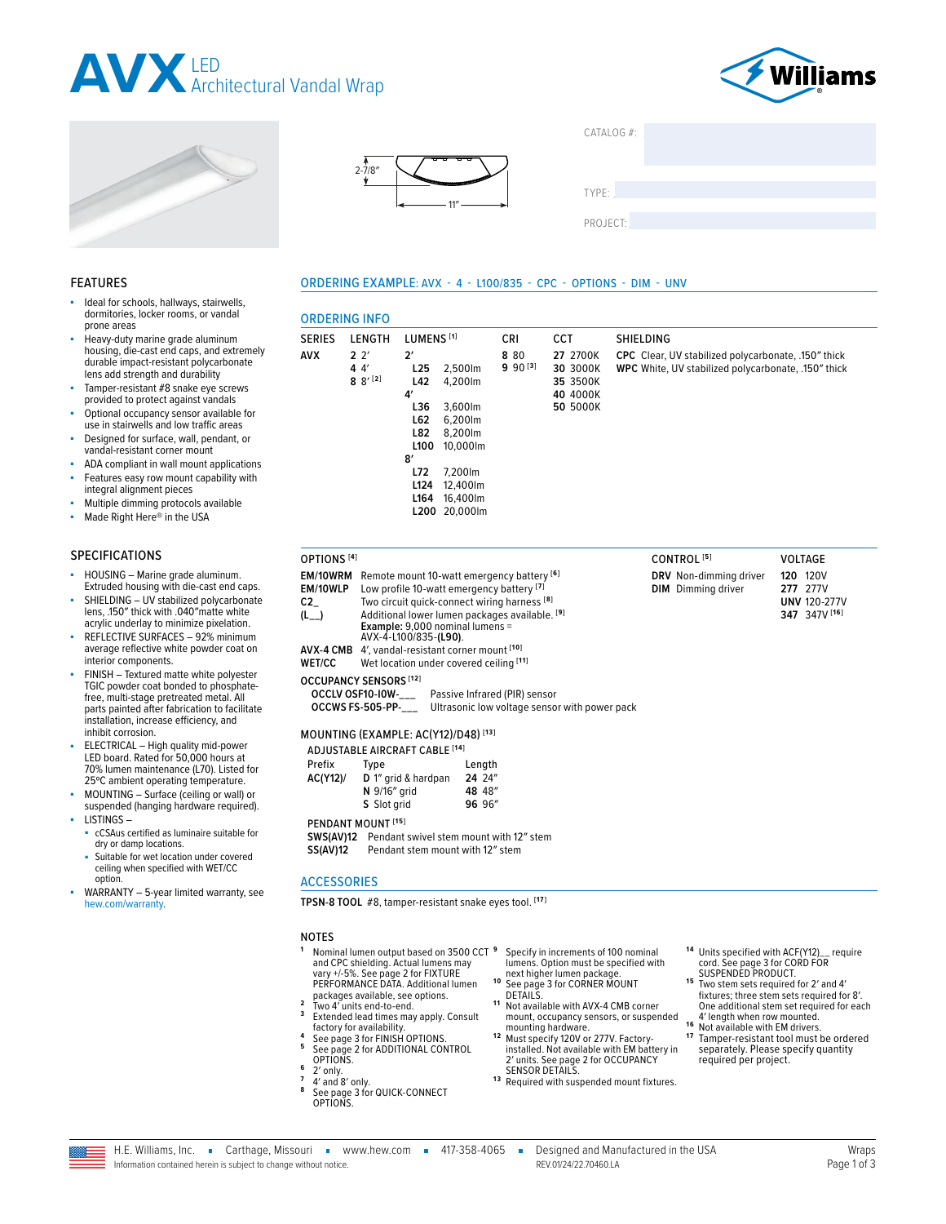







**2′** 

**4′**

**8′**

**L25** 2,500lm<br>**L42** 4.200lm **L42** 4,200lm

**L36** 3,600lm **L62** 6,200lm **L82** 8,200lm **L100** 10,000lm

**L72** 7,200lm **L124** 12,400lm **L164** 16,400lm **L200** 20,000lm

ORDERING INFO

**AVX 2** 2′ **4** 4′ **8** 8′ **[2]**  $CATAI OG #<sup>2</sup>$ 

TYPE: ����������������������������������������������������

PROJECT:

**27** 2700K **30** 3000K **35** 3500K **40** 4000K **50** 5000K

#### ORDERING EXAMPLE: AVX - 4 - L100/835 - CPC - OPTIONS - DIM - UNV

SERIES LENGTH LUMENS **[1]** CRI CCT SHIELDING

**8** 80 **9** 90 **[3]**

#### Ideal for schools, hallways, stairwells, dormitories, locker rooms, or vandal prone areas

- Heavy-duty marine grade aluminum housing, die-cast end caps, and extremely durable impact-resistant polycarbonate lens add strength and durability
- Tamper-resistant #8 snake eye screws provided to protect against vandals
- Optional occupancy sensor available for use in stairwells and low traffic areas
- Designed for surface, wall, pendant, or vandal-resistant corner mount
- ADA compliant in wall mount applications Features easy row mount capability with
- integral alignment pieces
- Multiple dimming protocols available
- Made Right Here® in the USA

#### SPECIFICATIONS

FEATURES

- HOUSING Marine grade aluminum. Extruded housing with die-cast end caps.
- SHIELDING UV stabilized polycarbonate lens, .150″ thick with .040″matte white acrylic underlay to minimize pixelation.
- REFLECTIVE SURFACES 92% minimum average reflective white powder coat on interior components.
- FINISH Textured matte white polyester TGIC powder coat bonded to phosphatefree, multi-stage pretreated metal. All parts painted after fabrication to facilitate installation, increase efficiency, and inhibit corrosion.
- ELECTRICAL High quality mid-power LED board. Rated for 50,000 hours at 70% lumen maintenance (L70). Listed for 25ºC ambient operating temperature.
- MOUNTING Surface (ceiling or wall) or suspended (hanging hardware required). LISTINGS –
- cCSAus certified as luminaire suitable for dry or damp locations.
- Suitable for wet location under covered ceiling when specified with WET/CC option.
- WARRANTY 5-year limited warranty, see [hew.com/warranty.](https://www.hew.com/resources/warranty-and-terms)

#### **EM/10WRM** Remote mount 10-watt emergency battery **[6] EM/10WLP** Low profile 10-watt emergency battery <sup>[7</sup> C2\_ Two circuit quick-connect wiring harness Two circuit quick-connect wiring harness [8] **(L\_\_)** Additional lower lumen packages available. **[9] Example:** 9,000 nominal lumens = AVX-4-L100/835-**(L90)**. **AVX-4 CMB** 4′, vandal-resistant corner mount **[10]** Wet location under covered ceiling [11] **OCCUPANCY SENSORS [12] OCCLV OSF10-I0W-\_\_\_** Passive Infrared (PIR) sensor **Ultrasonic low voltage sensor with power pack**

# MOUNTING (EXAMPLE: AC(Y12)/D48) **[13]**

ADJUSTABLE AIRCRAFT CABLE **[14]**

| Prefix   | Type                          | Length |
|----------|-------------------------------|--------|
| AC(Y12)/ | D 1" grid & hardpan           | 24 24" |
|          | N 9/16" grid                  | 48 48" |
|          | S Slot grid                   | 96 96" |
|          | PENDANT MOUNT <sup>[15]</sup> |        |

**SWS(AV)12** Pendant swivel stem mount with 12" stem<br>**SS(AV)12** Pendant stem mount with 12" stem Pendant stem mount with 12" stem

#### **ACCESSORIES**

**TPSN-8 TOOL** #8, tamper-resistant snake eyes tool. **[17]**

#### NOTES

- 1<sup>9</sup> Nominal lumen output based on 3500 CCT and CPC shielding. Actual lumens may vary +/-5%. See page 2 for FIXTURE<br>[PERFORMANCE DATA.](#page-1-0) Additional lumen
- packages available, see options. **<sup>2</sup>** Two 4′ units end-to-end. **<sup>3</sup>** Extended lead times may apply. Consult
- 
- Factory for availability.<br> **4** [See page 3 for FINISH OPTIONS.](#page-2-0)<br> **5** See page 2 for ADDITIONAL CONTROL<br>
OPTIONS.
- 
- **6** 2′ only.<br>**<sup>6</sup> 2′** only.<br>**7** 4′ and 8′ only.<br>**8** See page 3 for QUICK-CONNECT<br>[OPTIONS.](#page-2-1)
- **<sup>9</sup>** Specify in increments of 100 nominal lumens. Option must be specified with next higher lumen package.<br> **<sup>10</sup>** See page 3 for CORNER MOUNT<br> **DETAILS.**
- 
- Not available with AVX-4 CMB corner mount, occupancy sensors, or suspended
- mounting hardware.<br>**<sup>12</sup> Must specify 120V or 277V. Factory-**<br>installed. Not available with EM battery in 2′ units. [See page 2 for OCCUPANCY](#page-1-2)
- 13 **Required with suspended mount fixtures.**
- **1 4** Units specified with ACF(Y12)\_\_ require cord. See page 3 for CORD FOR<br>SUSPENDED PRODUCT.
- 15 Two stem sets required for 2' and 4' fixtures; three stem sets required for 8′. One additional stem set required for each<br>4' length when row mounted.
- 4′ length when row mounted. **1 6** Not available with EM drivers. **1 7** Tamper-resistant tool must be ordered separately. Please specify quantity required per project.

**DRV** Non-dimming driver **DIM** Dimming driver

**CPC** Clear, UV stabilized polycarbonate, .150″ thick **WPC** White, UV stabilized polycarbonate, .150″ thick

OPTIONS **[4]** CONTROL **[5]** VOLTAGE **120** 120V **277** 277V **UNV** 120-277V **347** 347V **[16]**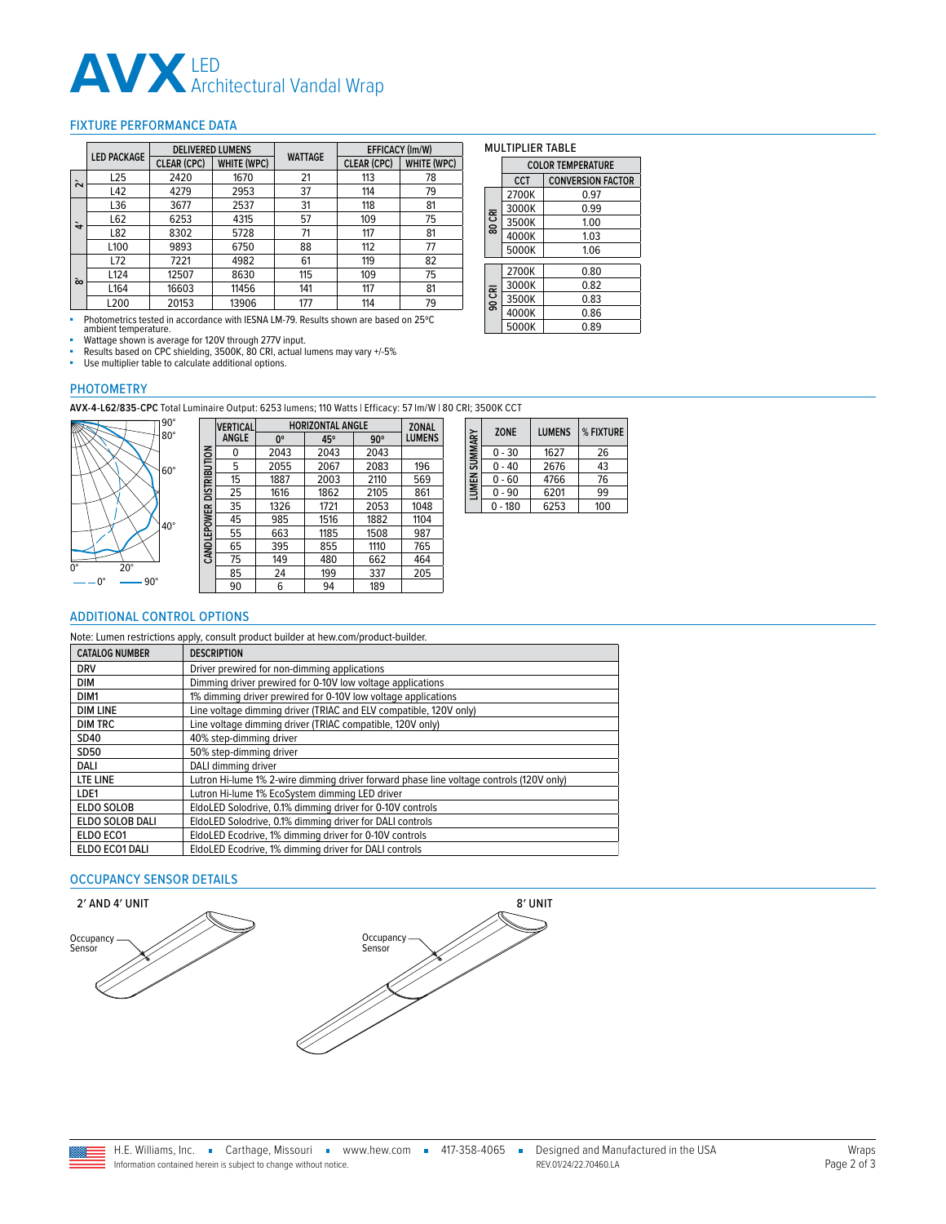# **AVX** LED<br>Architectural Vandal Wrap

#### <span id="page-1-0"></span>FIXTURE PERFORMANCE DATA

|                 | <b>LED PACKAGE</b> | <b>DELIVERED LUMENS</b> |                    | <b>WATTAGE</b> | EFFICACY (Im/W)    |             |
|-----------------|--------------------|-------------------------|--------------------|----------------|--------------------|-------------|
|                 |                    | <b>CLEAR (CPC)</b>      | <b>WHITE (WPC)</b> |                | <b>CLEAR (CPC)</b> | WHITE (WPC) |
| Ñ               | L25                | 2420                    | 1670               | 21             | 113                | 78          |
|                 | L42                | 4279                    | 2953               | 37             | 114                | 79          |
|                 | L36                | 3677                    | 2537               | 31             | 118                | 81          |
| $\dot{\vec{r}}$ | L62                | 6253                    | 4315               | 57             | 109                | 75          |
|                 | L82                | 8302                    | 5728               | 71             | 117                | 81          |
|                 | L100               | 9893                    | 6750               | 88             | 112                | 77          |
|                 | L72                | 7221                    | 4982               | 61             | 119                | 82          |
| $\infty$        | L124               | 12507                   | 8630               | 115            | 109                | 75          |
|                 | L164               | 16603                   | 11456              | 141            | 117                | 81          |
|                 | L200               | 20153                   | 13906              | 177            | 114                | 79          |

■ Photometrics tested in accordance with IESNA LM-79. Results shown are based on 25ºC ambient temperature.

■ Wattage shown is average for 120V through 277V input.<br>■ Results based on CPC shielding, 3500K, 80 CRI, actual lumens may vary +/-5%<br>■ Use multiplier table to calculate additional options.

**CANDLEPOWER DISTRIBUTION**

CANDLEPOWER DISTRIBUTION

#### PHOTOMETRY

**AVX-4-L62/835-CPC** Total Luminaire Output: 6253 lumens; 110 Watts | Efficacy: 57 lm/W | 80 CRI; 3500K CCT



| <b>VERTICAL</b> | <b>HORIZONTAL ANGLE</b> | <b>ZONAL</b> |            |               |
|-----------------|-------------------------|--------------|------------|---------------|
| <b>ANGLE</b>    | 0°                      | 45°          | $90^\circ$ | <b>LUMENS</b> |
| 0               | 2043                    | 2043         | 2043       |               |
| 5               | 2055                    | 2067         | 2083       | 196           |
| 15              | 1887                    | 2003         | 2110       | 569           |
| 25              | 1616                    | 1862         | 2105       | 861           |
| 35              | 1326                    | 1721         | 2053       | 1048          |
| 45              | 985                     | 1516         | 1882       | 1104          |
| 55              | 663                     | 1185         | 1508       | 987           |
| 65              | 395                     | 855          | 1110       | 765           |
| 75              | 149                     | 480          | 662        | 464           |
| 85              | 24                      | 199          | 337        | 205           |
| 90              | 6                       | 94           | 189        |               |

| SUMMARY | <b>ZONE</b> | <b>LUMENS</b> | % FIXTURE |
|---------|-------------|---------------|-----------|
|         | $0 - 30$    | 1627          | 26        |
|         | $0 - 40$    | 2676          | 43        |
| LUMEN   | $0 - 60$    | 4766          | 76        |
|         | $0 - 90$    | 6201          | 99        |
|         | $0 - 180$   | 6253          | 100       |

MULTIPLIER TABLE

3000K

 $4000K$ 

3500K

**80 CRI**

**90 CRI**

**UMPNI CUMMAN** 

**COLOR TEMPERATURE CCT CONVERSION FACTOR** 

2700K 0.97<br>3000K 0.99

3500K 1.00<br>4000K 1.03

5000K 1.06

2700K 0.80 3000K 0.82<br>3500K 0.83

4000K 0.86  $\overline{5000K}$  0.89

#### <span id="page-1-1"></span>ADDITIONAL CONTROL OPTIONS

Note: Lumen restrictions apply, consult product builder at hew.com/product-builder.

| <b>CATALOG NUMBER</b> | <b>DESCRIPTION</b>                                                                      |
|-----------------------|-----------------------------------------------------------------------------------------|
| <b>DRV</b>            | Driver prewired for non-dimming applications                                            |
| <b>DIM</b>            | Dimming driver prewired for 0-10V low voltage applications                              |
| DIM <sub>1</sub>      | 1% dimming driver prewired for 0-10V low voltage applications                           |
| <b>DIM LINE</b>       | Line voltage dimming driver (TRIAC and ELV compatible, 120V only)                       |
| <b>DIM TRC</b>        | Line voltage dimming driver (TRIAC compatible, 120V only)                               |
| SD40                  | 40% step-dimming driver                                                                 |
| SD50                  | 50% step-dimming driver                                                                 |
| DALI                  | DALI dimming driver                                                                     |
| LTE LINE              | Lutron Hi-lume 1% 2-wire dimming driver forward phase line voltage controls (120V only) |
| LDE1                  | Lutron Hi-lume 1% EcoSystem dimming LED driver                                          |
| <b>ELDO SOLOB</b>     | EldoLED Solodrive, 0.1% dimming driver for 0-10V controls                               |
| ELDO SOLOB DALI       | EldoLED Solodrive, 0.1% dimming driver for DALI controls                                |
| ELDO ECO1             | EldoLED Ecodrive, 1% dimming driver for 0-10V controls                                  |
| ELDO ECO1 DALI        | EldoLED Ecodrive, 1% dimming driver for DALI controls                                   |

### <span id="page-1-2"></span>OCCUPANCY SENSOR DETAILS



Information contained herein is subject to change without notice.